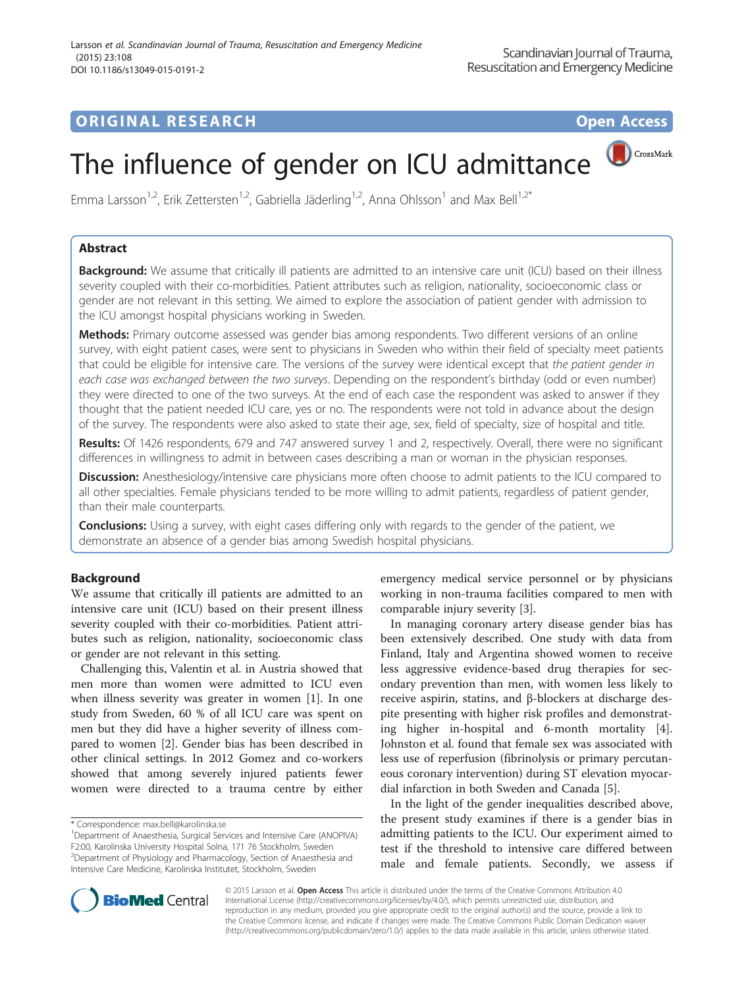# **ORIGINAL RESEARCH CONSERVERS OPEN ACCESS**

CrossMark

# The influence of gender on ICU admittance

Emma Larsson<sup>1,2</sup>, Erik Zettersten<sup>1,2</sup>, Gabriella Jäderling<sup>1,2</sup>, Anna Ohlsson<sup>1</sup> and Max Bell<sup>1,2\*</sup>

# Abstract

Background: We assume that critically ill patients are admitted to an intensive care unit (ICU) based on their illness severity coupled with their co-morbidities. Patient attributes such as religion, nationality, socioeconomic class or gender are not relevant in this setting. We aimed to explore the association of patient gender with admission to the ICU amongst hospital physicians working in Sweden.

Methods: Primary outcome assessed was gender bias among respondents. Two different versions of an online survey, with eight patient cases, were sent to physicians in Sweden who within their field of specialty meet patients that could be eligible for intensive care. The versions of the survey were identical except that the patient gender in each case was exchanged between the two surveys. Depending on the respondent's birthday (odd or even number) they were directed to one of the two surveys. At the end of each case the respondent was asked to answer if they thought that the patient needed ICU care, yes or no. The respondents were not told in advance about the design of the survey. The respondents were also asked to state their age, sex, field of specialty, size of hospital and title.

Results: Of 1426 respondents, 679 and 747 answered survey 1 and 2, respectively. Overall, there were no significant differences in willingness to admit in between cases describing a man or woman in the physician responses.

Discussion: Anesthesiology/intensive care physicians more often choose to admit patients to the ICU compared to all other specialties. Female physicians tended to be more willing to admit patients, regardless of patient gender, than their male counterparts.

**Conclusions:** Using a survey, with eight cases differing only with regards to the gender of the patient, we demonstrate an absence of a gender bias among Swedish hospital physicians.

# Background

We assume that critically ill patients are admitted to an intensive care unit (ICU) based on their present illness severity coupled with their co-morbidities. Patient attributes such as religion, nationality, socioeconomic class or gender are not relevant in this setting.

Challenging this, Valentin et al. in Austria showed that men more than women were admitted to ICU even when illness severity was greater in women [\[1](#page-5-0)]. In one study from Sweden, 60 % of all ICU care was spent on men but they did have a higher severity of illness compared to women [\[2\]](#page-5-0). Gender bias has been described in other clinical settings. In 2012 Gomez and co-workers showed that among severely injured patients fewer women were directed to a trauma centre by either

emergency medical service personnel or by physicians working in non-trauma facilities compared to men with comparable injury severity [[3\]](#page-5-0).

In managing coronary artery disease gender bias has been extensively described. One study with data from Finland, Italy and Argentina showed women to receive less aggressive evidence-based drug therapies for secondary prevention than men, with women less likely to receive aspirin, statins, and β-blockers at discharge despite presenting with higher risk profiles and demonstrating higher in-hospital and 6-month mortality [\[4](#page-5-0)]. Johnston et al. found that female sex was associated with less use of reperfusion (fibrinolysis or primary percutaneous coronary intervention) during ST elevation myocardial infarction in both Sweden and Canada [\[5](#page-5-0)].

In the light of the gender inequalities described above, the present study examines if there is a gender bias in admitting patients to the ICU. Our experiment aimed to test if the threshold to intensive care differed between male and female patients. Secondly, we assess if



© 2015 Larsson et al. Open Access This article is distributed under the terms of the Creative Commons Attribution 4.0 International License [\(http://creativecommons.org/licenses/by/4.0/](http://creativecommons.org/licenses/by/4.0/)), which permits unrestricted use, distribution, and reproduction in any medium, provided you give appropriate credit to the original author(s) and the source, provide a link to the Creative Commons license, and indicate if changes were made. The Creative Commons Public Domain Dedication waiver [\(http://creativecommons.org/publicdomain/zero/1.0/](http://creativecommons.org/publicdomain/zero/1.0/)) applies to the data made available in this article, unless otherwise stated.

<sup>\*</sup> Correspondence: [max.bell@karolinska.se](mailto:max.bell@karolinska.se) <sup>1</sup>

Department of Anaesthesia, Surgical Services and Intensive Care (ANOPIVA) F2:00, Karolinska University Hospital Solna, 171 76 Stockholm, Sweden <sup>2</sup> Department of Physiology and Pharmacology, Section of Anaesthesia and Intensive Care Medicine, Karolinska Institutet, Stockholm, Sweden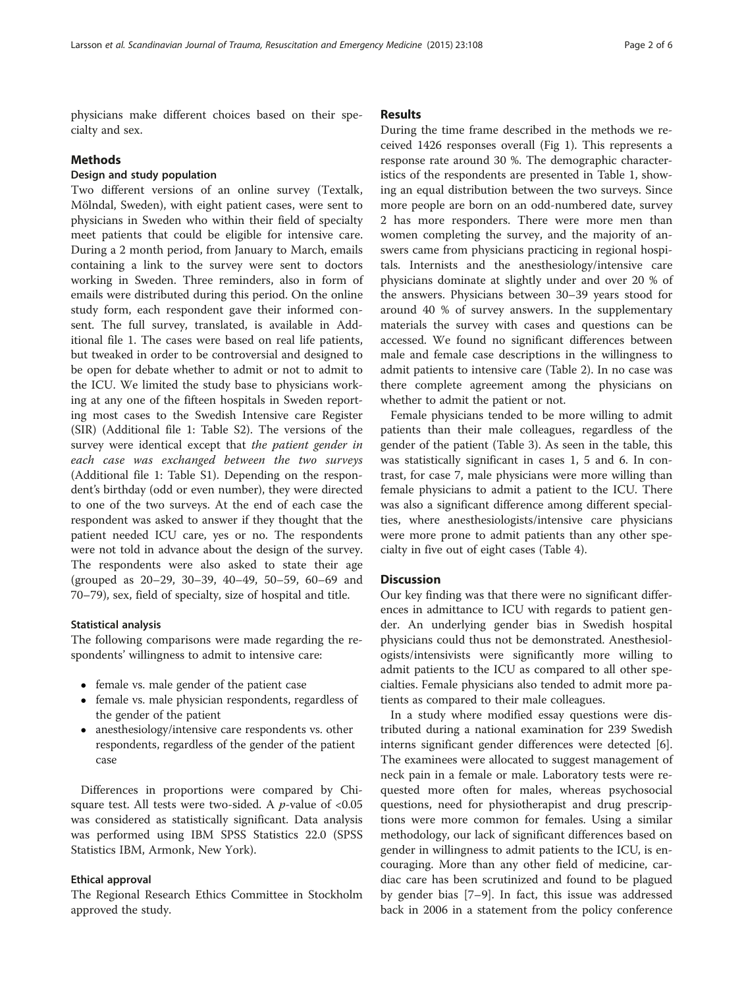physicians make different choices based on their specialty and sex.

#### Methods

## Design and study population

Two different versions of an online survey (Textalk, Mölndal, Sweden), with eight patient cases, were sent to physicians in Sweden who within their field of specialty meet patients that could be eligible for intensive care. During a 2 month period, from January to March, emails containing a link to the survey were sent to doctors working in Sweden. Three reminders, also in form of emails were distributed during this period. On the online study form, each respondent gave their informed consent. The full survey, translated, is available in Additional file [1](#page-4-0). The cases were based on real life patients, but tweaked in order to be controversial and designed to be open for debate whether to admit or not to admit to the ICU. We limited the study base to physicians working at any one of the fifteen hospitals in Sweden reporting most cases to the Swedish Intensive care Register (SIR) (Additional file [1](#page-4-0): Table S2). The versions of the survey were identical except that the patient gender in each case was exchanged between the two surveys (Additional file [1](#page-4-0): Table S1). Depending on the respondent's birthday (odd or even number), they were directed to one of the two surveys. At the end of each case the respondent was asked to answer if they thought that the patient needed ICU care, yes or no. The respondents were not told in advance about the design of the survey. The respondents were also asked to state their age (grouped as 20–29, 30–39, 40–49, 50–59, 60–69 and 70–79), sex, field of specialty, size of hospital and title.

#### Statistical analysis

The following comparisons were made regarding the respondents' willingness to admit to intensive care:

- female vs. male gender of the patient case
- female vs. male physician respondents, regardless of the gender of the patient
- anesthesiology/intensive care respondents vs. other respondents, regardless of the gender of the patient case

Differences in proportions were compared by Chisquare test. All tests were two-sided. A  $p$ -value of <0.05 was considered as statistically significant. Data analysis was performed using IBM SPSS Statistics 22.0 (SPSS Statistics IBM, Armonk, New York).

#### Ethical approval

The Regional Research Ethics Committee in Stockholm approved the study.

#### Results

During the time frame described in the methods we received 1426 responses overall (Fig [1\)](#page-2-0). This represents a response rate around 30 %. The demographic characteristics of the respondents are presented in Table [1,](#page-3-0) showing an equal distribution between the two surveys. Since more people are born on an odd-numbered date, survey 2 has more responders. There were more men than women completing the survey, and the majority of answers came from physicians practicing in regional hospitals. Internists and the anesthesiology/intensive care physicians dominate at slightly under and over 20 % of the answers. Physicians between 30–39 years stood for around 40 % of survey answers. In the supplementary materials the survey with cases and questions can be accessed. We found no significant differences between male and female case descriptions in the willingness to admit patients to intensive care (Table [2\)](#page-3-0). In no case was there complete agreement among the physicians on whether to admit the patient or not.

Female physicians tended to be more willing to admit patients than their male colleagues, regardless of the gender of the patient (Table [3\)](#page-3-0). As seen in the table, this was statistically significant in cases 1, 5 and 6. In contrast, for case 7, male physicians were more willing than female physicians to admit a patient to the ICU. There was also a significant difference among different specialties, where anesthesiologists/intensive care physicians were more prone to admit patients than any other specialty in five out of eight cases (Table [4\)](#page-4-0).

#### **Discussion**

Our key finding was that there were no significant differences in admittance to ICU with regards to patient gender. An underlying gender bias in Swedish hospital physicians could thus not be demonstrated. Anesthesiologists/intensivists were significantly more willing to admit patients to the ICU as compared to all other specialties. Female physicians also tended to admit more patients as compared to their male colleagues.

In a study where modified essay questions were distributed during a national examination for 239 Swedish interns significant gender differences were detected [\[6](#page-5-0)]. The examinees were allocated to suggest management of neck pain in a female or male. Laboratory tests were requested more often for males, whereas psychosocial questions, need for physiotherapist and drug prescriptions were more common for females. Using a similar methodology, our lack of significant differences based on gender in willingness to admit patients to the ICU, is encouraging. More than any other field of medicine, cardiac care has been scrutinized and found to be plagued by gender bias [[7](#page-5-0)–[9\]](#page-5-0). In fact, this issue was addressed back in 2006 in a statement from the policy conference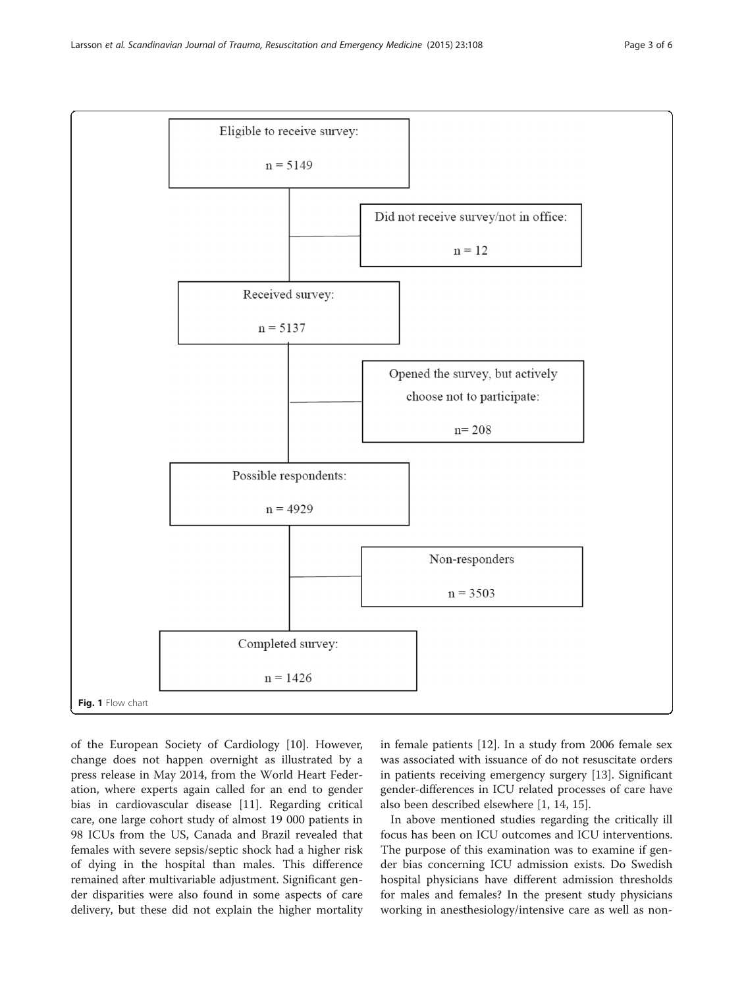<span id="page-2-0"></span>

of the European Society of Cardiology [\[10\]](#page-5-0). However, change does not happen overnight as illustrated by a press release in May 2014, from the World Heart Federation, where experts again called for an end to gender bias in cardiovascular disease [[11](#page-5-0)]. Regarding critical care, one large cohort study of almost 19 000 patients in 98 ICUs from the US, Canada and Brazil revealed that females with severe sepsis/septic shock had a higher risk of dying in the hospital than males. This difference remained after multivariable adjustment. Significant gender disparities were also found in some aspects of care delivery, but these did not explain the higher mortality

in female patients [\[12\]](#page-5-0). In a study from 2006 female sex was associated with issuance of do not resuscitate orders in patients receiving emergency surgery [[13\]](#page-5-0). Significant gender-differences in ICU related processes of care have also been described elsewhere [\[1](#page-5-0), [14](#page-5-0), [15](#page-5-0)].

In above mentioned studies regarding the critically ill focus has been on ICU outcomes and ICU interventions. The purpose of this examination was to examine if gender bias concerning ICU admission exists. Do Swedish hospital physicians have different admission thresholds for males and females? In the present study physicians working in anesthesiology/intensive care as well as non-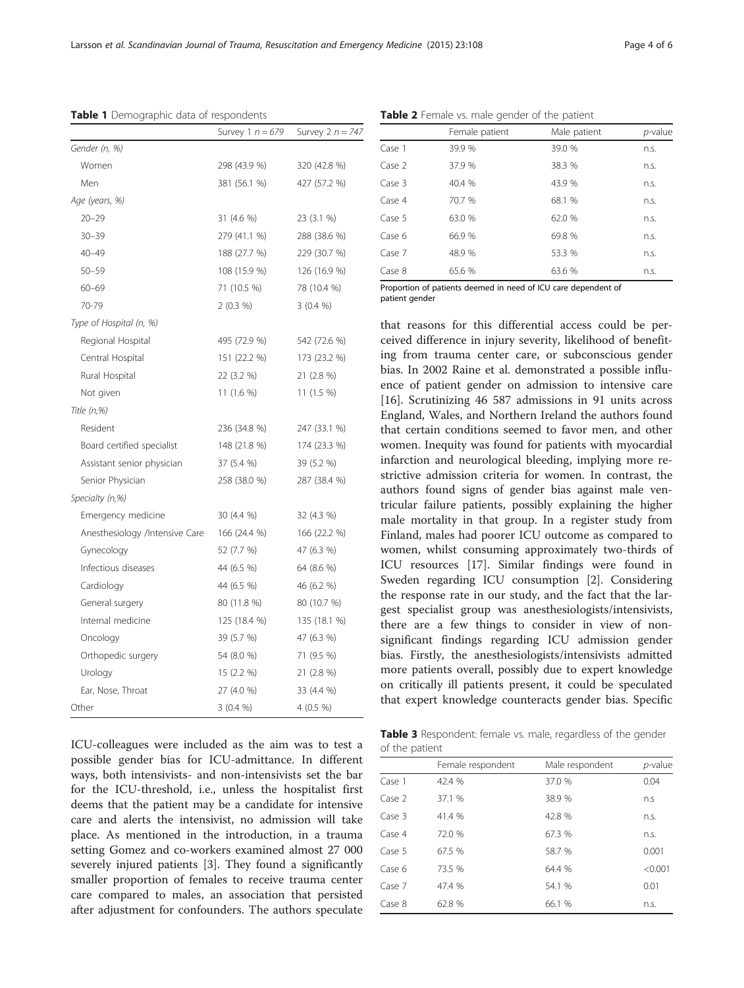|                                | Survey 1 $n = 679$ | Survey $2 n = 747$ |
|--------------------------------|--------------------|--------------------|
| Gender (n, %)                  |                    |                    |
| Women                          | 298 (43.9 %)       | 320 (42.8 %)       |
| Men                            | 381 (56.1 %)       | 427 (57.2 %)       |
| Age (years, %)                 |                    |                    |
| $20 - 29$                      | 31 (4.6 %)         | 23 (3.1 %)         |
| $30 - 39$                      | 279 (41.1 %)       | 288 (38.6 %)       |
| $40 - 49$                      | 188 (27.7 %)       | 229 (30.7 %)       |
| $50 - 59$                      | 108 (15.9 %)       | 126 (16.9 %)       |
| $60 - 69$                      | 71 (10.5 %)        | 78 (10.4 %)        |
| 70-79                          | 2(0.3%)            | 3(0.4%             |
| Type of Hospital (n, %)        |                    |                    |
| Regional Hospital              | 495 (72.9 %)       | 542 (72.6 %)       |
| Central Hospital               | 151 (22.2 %)       | 173 (23.2 %)       |
| Rural Hospital                 | 22 (3.2 %)         | 21 (2.8 %)         |
| Not given                      | $11(1.6\%)$        | 11 (1.5 %)         |
| Title (n,%)                    |                    |                    |
| Resident                       | 236 (34.8 %)       | 247 (33.1 %)       |
| Board certified specialist     | 148 (21.8 %)       | 174 (23.3 %)       |
| Assistant senior physician     | 37 (5.4 %)         | 39 (5.2 %)         |
| Senior Physician               | 258 (38.0 %)       | 287 (38.4 %)       |
| Specialty (n,%)                |                    |                    |
| Emergency medicine             | 30 (4.4 %)         | 32 (4.3 %)         |
| Anesthesiology /Intensive Care | 166 (24.4 %)       | 166 (22.2 %)       |
| Gynecology                     | 52 (7.7 %)         | 47 (6.3 %)         |
| Infectious diseases            | 44 (6.5 %)         | 64 (8.6 %)         |
| Cardiology                     | 44 (6.5 %)         | 46 (6.2 %)         |
| General surgery                | 80 (11.8 %)        | 80 (10.7 %)        |
| Internal medicine              | 125 (18.4 %)       | 135 (18.1 %)       |
| Oncology                       | 39 (5.7 %)         | 47 (6.3 %)         |
| Orthopedic surgery             | 54 (8.0 %)         | 71 (9.5 %)         |
| Urology                        | 15(2.2%)           | 21 (2.8 %)         |
| Ear, Nose, Throat              | 27 (4.0 %)         | 33 (4.4 %)         |
| Other                          | 3(0.4%             | $4(0.5\%)$         |

<span id="page-3-0"></span>Table 1 Demographic data of respondents

ICU-colleagues were included as the aim was to test a possible gender bias for ICU-admittance. In different ways, both intensivists- and non-intensivists set the bar for the ICU-threshold, i.e., unless the hospitalist first deems that the patient may be a candidate for intensive care and alerts the intensivist, no admission will take place. As mentioned in the introduction, in a trauma setting Gomez and co-workers examined almost 27 000 severely injured patients [[3\]](#page-5-0). They found a significantly smaller proportion of females to receive trauma center care compared to males, an association that persisted after adjustment for confounders. The authors speculate

| Table 2 Female vs. male gender of the patient |  |  |
|-----------------------------------------------|--|--|
|                                               |  |  |

|        | Female patient | Male patient | p-value |
|--------|----------------|--------------|---------|
| Case 1 | 39.9 %         | 39.0 %       | n.S.    |
| Case 2 | 37.9 %         | 38.3 %       | n.s.    |
| Case 3 | 40.4 %         | 43.9%        | n.s.    |
| Case 4 | 70.7 %         | 68.1 %       | n.s.    |
| Case 5 | 63.0 %         | 62.0%        | n.s.    |
| Case 6 | 66.9%          | 69.8 %       | n.s.    |
| Case 7 | 48.9 %         | 53.3 %       | n.s.    |
| Case 8 | 65.6 %         | 63.6 %       | n.s.    |

Proportion of patients deemed in need of ICU care dependent of patient gender

that reasons for this differential access could be perceived difference in injury severity, likelihood of benefiting from trauma center care, or subconscious gender bias. In 2002 Raine et al. demonstrated a possible influence of patient gender on admission to intensive care [[16\]](#page-5-0). Scrutinizing 46 587 admissions in 91 units across England, Wales, and Northern Ireland the authors found that certain conditions seemed to favor men, and other women. Inequity was found for patients with myocardial infarction and neurological bleeding, implying more restrictive admission criteria for women. In contrast, the authors found signs of gender bias against male ventricular failure patients, possibly explaining the higher male mortality in that group. In a register study from Finland, males had poorer ICU outcome as compared to women, whilst consuming approximately two-thirds of ICU resources [\[17\]](#page-5-0). Similar findings were found in Sweden regarding ICU consumption [[2\]](#page-5-0). Considering the response rate in our study, and the fact that the largest specialist group was anesthesiologists/intensivists, there are a few things to consider in view of nonsignificant findings regarding ICU admission gender bias. Firstly, the anesthesiologists/intensivists admitted more patients overall, possibly due to expert knowledge on critically ill patients present, it could be speculated that expert knowledge counteracts gender bias. Specific

Table 3 Respondent: female vs. male, regardless of the gender of the patient

|        | Female respondent | Male respondent | $p$ -value |
|--------|-------------------|-----------------|------------|
| Case 1 | 42.4 %            | 37.0 %          | 0.04       |
| Case 2 | 37.1 %            | 38.9 %          | n.S        |
| Case 3 | 41.4 %            | 42.8 %          | n.s.       |
| Case 4 | 72.0 %            | 67.3 %          | n.s.       |
| Case 5 | 67.5 %            | 58.7 %          | 0.001      |
| Case 6 | 73.5 %            | 64.4 %          | < 0.001    |
| Case 7 | 47.4 %            | 54.1 %          | 0.01       |
| Case 8 | 62.8%             | 66.1 %          | n.s.       |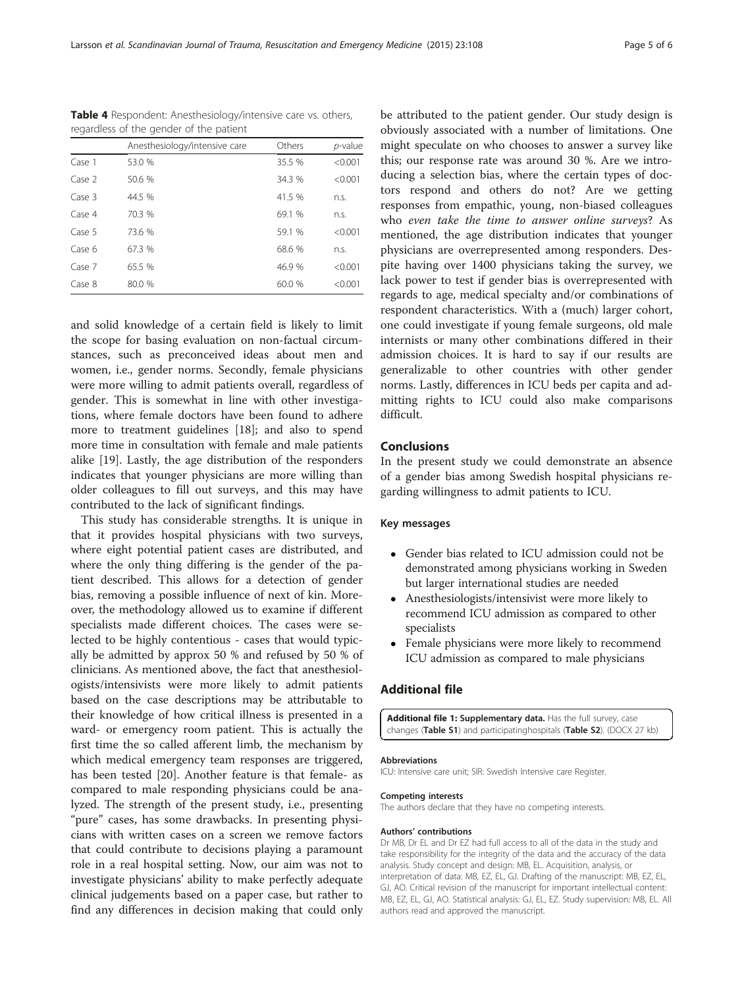|        | Anesthesiology/intensive care | Others | p-value |
|--------|-------------------------------|--------|---------|
| Case 1 | 53.0 %                        | 35.5 % | < 0.001 |
| Case 2 | 50.6 %                        | 34.3 % | < 0.001 |
| Case 3 | 44.5 %                        | 41.5 % | n.s.    |
| Case 4 | 70.3 %                        | 69.1 % | n.s.    |
| Case 5 | 73.6 %                        | 59.1 % | < 0.001 |
| Case 6 | 67.3 %                        | 68.6 % | n.s.    |
| Case 7 | 65.5 %                        | 46.9%  | < 0.001 |
| Case 8 | 80.0 %                        | 60.0%  | < 0.001 |

<span id="page-4-0"></span>Table 4 Respondent: Anesthesiology/intensive care vs. others, regardless of the gender of the patient

and solid knowledge of a certain field is likely to limit the scope for basing evaluation on non-factual circumstances, such as preconceived ideas about men and women, i.e., gender norms. Secondly, female physicians were more willing to admit patients overall, regardless of gender. This is somewhat in line with other investigations, where female doctors have been found to adhere more to treatment guidelines [\[18](#page-5-0)]; and also to spend more time in consultation with female and male patients alike [[19](#page-5-0)]. Lastly, the age distribution of the responders indicates that younger physicians are more willing than older colleagues to fill out surveys, and this may have contributed to the lack of significant findings.

This study has considerable strengths. It is unique in that it provides hospital physicians with two surveys, where eight potential patient cases are distributed, and where the only thing differing is the gender of the patient described. This allows for a detection of gender bias, removing a possible influence of next of kin. Moreover, the methodology allowed us to examine if different specialists made different choices. The cases were selected to be highly contentious - cases that would typically be admitted by approx 50 % and refused by 50 % of clinicians. As mentioned above, the fact that anesthesiologists/intensivists were more likely to admit patients based on the case descriptions may be attributable to their knowledge of how critical illness is presented in a ward- or emergency room patient. This is actually the first time the so called afferent limb, the mechanism by which medical emergency team responses are triggered, has been tested [[20](#page-5-0)]. Another feature is that female- as compared to male responding physicians could be analyzed. The strength of the present study, i.e., presenting "pure" cases, has some drawbacks. In presenting physicians with written cases on a screen we remove factors that could contribute to decisions playing a paramount role in a real hospital setting. Now, our aim was not to investigate physicians' ability to make perfectly adequate clinical judgements based on a paper case, but rather to find any differences in decision making that could only

be attributed to the patient gender. Our study design is obviously associated with a number of limitations. One might speculate on who chooses to answer a survey like this; our response rate was around 30 %. Are we introducing a selection bias, where the certain types of doctors respond and others do not? Are we getting responses from empathic, young, non-biased colleagues who even take the time to answer online surveys? As mentioned, the age distribution indicates that younger physicians are overrepresented among responders. Despite having over 1400 physicians taking the survey, we lack power to test if gender bias is overrepresented with regards to age, medical specialty and/or combinations of respondent characteristics. With a (much) larger cohort, one could investigate if young female surgeons, old male internists or many other combinations differed in their admission choices. It is hard to say if our results are generalizable to other countries with other gender norms. Lastly, differences in ICU beds per capita and admitting rights to ICU could also make comparisons difficult.

#### Conclusions

In the present study we could demonstrate an absence of a gender bias among Swedish hospital physicians regarding willingness to admit patients to ICU.

## Key messages

- Gender bias related to ICU admission could not be demonstrated among physicians working in Sweden but larger international studies are needed
- Anesthesiologists/intensivist were more likely to recommend ICU admission as compared to other specialists
- Female physicians were more likely to recommend ICU admission as compared to male physicians

# Additional file

[Additional file 1:](dx.doi.org/10.1186/s13049-015-0191-2) Supplementary data. Has the full survey, case changes (Table S1) and participatinghospitals (Table S2). (DOCX 27 kb)

#### Abbreviations

ICU: Intensive care unit; SIR: Swedish Intensive care Register.

#### Competing interests

The authors declare that they have no competing interests.

#### Authors' contributions

Dr MB, Dr EL and Dr EZ had full access to all of the data in the study and take responsibility for the integrity of the data and the accuracy of the data analysis. Study concept and design: MB, EL. Acquisition, analysis, or interpretation of data: MB, EZ, EL, GJ. Drafting of the manuscript: MB, EZ, EL, GJ, AO. Critical revision of the manuscript for important intellectual content: MB, EZ, EL, GJ, AO. Statistical analysis: GJ, EL, EZ. Study supervision: MB, EL. All authors read and approved the manuscript.